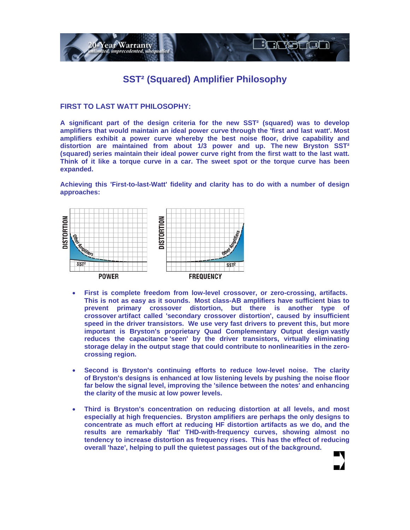

## **SST² (Squared) Amplifier Philosophy**

**FIRST TO LAST WATT PHILOSOPHY:** 

**A significant part of the design criteria for the new SST² (squared) was to develop amplifiers that would maintain an ideal power curve through the 'first and last watt'. Most amplifiers exhibit a power curve whereby the best noise floor, drive capability and distortion are maintained from about 1/3 power and up. The new Bryston SST² (squared) series maintain their ideal power curve right from the first watt to the last watt. Think of it like a torque curve in a car. The sweet spot or the torque curve has been expanded.** 

**Achieving this 'First-to-last-Watt' fidelity and clarity has to do with a number of design approaches:** 



- **First is complete freedom from low-level crossover, or zero-crossing, artifacts. This is not as easy as it sounds. Most class-AB amplifiers have sufficient bias to prevent primary crossover distortion, but there is another type of crossover artifact called 'secondary crossover distortion', caused by insufficient speed in the driver transistors. We use very fast drivers to prevent this, but more important is Bryston's proprietary Quad Complementary Output design vastly reduces the capacitance 'seen' by the driver transistors, virtually eliminating storage delay in the output stage that could contribute to nonlinearities in the zerocrossing region.**
- **Second is Bryston's continuing efforts to reduce low-level noise. The clarity of Bryston's designs is enhanced at low listening levels by pushing the noise floor far below the signal level, improving the 'silence between the notes' and enhancing the clarity of the music at low power levels.**
- **Third is Bryston's concentration on reducing distortion at all levels, and most especially at high frequencies. Bryston amplifiers are perhaps the only designs to concentrate as much effort at reducing HF distortion artifacts as we do, and the results are remarkably 'flat' THD-with-frequency curves, showing almost no tendency to increase distortion as frequency rises. This has the effect of reducing overall 'haze', helping to pull the quietest passages out of the background.**